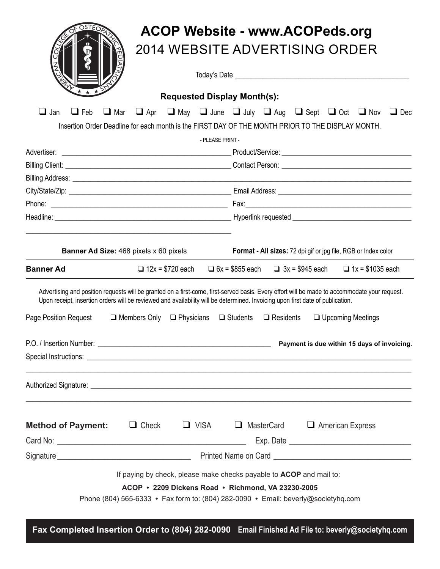|                                                                                                                                |                     |                                                                                                                                                                                                                                      |                                                                                   | <b>ACOP Website - www.ACOPeds.org</b>                                                                                                         |  |  |
|--------------------------------------------------------------------------------------------------------------------------------|---------------------|--------------------------------------------------------------------------------------------------------------------------------------------------------------------------------------------------------------------------------------|-----------------------------------------------------------------------------------|-----------------------------------------------------------------------------------------------------------------------------------------------|--|--|
| ው                                                                                                                              |                     |                                                                                                                                                                                                                                      |                                                                                   | 2014 WEBSITE ADVERTISING ORDER                                                                                                                |  |  |
|                                                                                                                                |                     |                                                                                                                                                                                                                                      |                                                                                   |                                                                                                                                               |  |  |
|                                                                                                                                |                     |                                                                                                                                                                                                                                      | <b>Requested Display Month(s):</b>                                                |                                                                                                                                               |  |  |
| $\Box$ Jan<br>$\Box$ Feb<br>$\Box$ Mar                                                                                         |                     |                                                                                                                                                                                                                                      |                                                                                   | $\Box$ Apr $\Box$ May $\Box$ June $\Box$ July $\Box$ Aug $\Box$ Sept $\Box$ Oct $\Box$ Nov<br>$\Box$ Dec                                      |  |  |
|                                                                                                                                |                     |                                                                                                                                                                                                                                      |                                                                                   | Insertion Order Deadline for each month is the FIRST DAY OF THE MONTH PRIOR TO THE DISPLAY MONTH.                                             |  |  |
|                                                                                                                                |                     | - PLEASE PRINT -                                                                                                                                                                                                                     |                                                                                   |                                                                                                                                               |  |  |
|                                                                                                                                |                     |                                                                                                                                                                                                                                      |                                                                                   |                                                                                                                                               |  |  |
|                                                                                                                                |                     |                                                                                                                                                                                                                                      |                                                                                   |                                                                                                                                               |  |  |
|                                                                                                                                |                     |                                                                                                                                                                                                                                      |                                                                                   |                                                                                                                                               |  |  |
|                                                                                                                                |                     |                                                                                                                                                                                                                                      |                                                                                   |                                                                                                                                               |  |  |
|                                                                                                                                |                     | Headline: <u>New Architecture and Communications and Communications and Communications and Communications and Communications and Communications and Communications and Communications and Communications are communicated by the</u> |                                                                                   |                                                                                                                                               |  |  |
|                                                                                                                                |                     |                                                                                                                                                                                                                                      |                                                                                   |                                                                                                                                               |  |  |
| Banner Ad Size: 468 pixels x 60 pixels                                                                                         |                     |                                                                                                                                                                                                                                      |                                                                                   | Format - All sizes: 72 dpi gif or jpg file, RGB or Index color                                                                                |  |  |
| <b>Banner Ad</b>                                                                                                               |                     | $\Box$ 12x = \$720 each $\Box$ 6x = \$855 each                                                                                                                                                                                       |                                                                                   | □ $3x = $945$ each □ $1x = $1035$ each                                                                                                        |  |  |
| Upon receipt, insertion orders will be reviewed and availability will be determined. Invoicing upon first date of publication. |                     |                                                                                                                                                                                                                                      |                                                                                   | Advertising and position requests will be granted on a first-come, first-served basis. Every effort will be made to accommodate your request. |  |  |
| Page Position Request                                                                                                          | $\Box$ Members Only | $\Box$ Physicians $\Box$ Students                                                                                                                                                                                                    | $\Box$ Residents                                                                  | □ Upcoming Meetings                                                                                                                           |  |  |
|                                                                                                                                |                     |                                                                                                                                                                                                                                      |                                                                                   |                                                                                                                                               |  |  |
|                                                                                                                                |                     |                                                                                                                                                                                                                                      |                                                                                   | Special Instructions: <u>example and the contract of the contract of the contract of the contract of the contract of</u>                      |  |  |
|                                                                                                                                |                     |                                                                                                                                                                                                                                      |                                                                                   |                                                                                                                                               |  |  |
| <b>Method of Payment:</b> $\qquad \qquad \Box$ Check $\qquad \Box$ VISA                                                        |                     |                                                                                                                                                                                                                                      |                                                                                   | $\Box$ MasterCard $\Box$ American Express                                                                                                     |  |  |
|                                                                                                                                |                     |                                                                                                                                                                                                                                      |                                                                                   |                                                                                                                                               |  |  |
|                                                                                                                                |                     |                                                                                                                                                                                                                                      |                                                                                   |                                                                                                                                               |  |  |
|                                                                                                                                |                     |                                                                                                                                                                                                                                      | If paying by check, please make checks payable to ACOP and mail to:               |                                                                                                                                               |  |  |
|                                                                                                                                |                     |                                                                                                                                                                                                                                      | ACOP • 2209 Dickens Road • Richmond, VA 23230-2005                                |                                                                                                                                               |  |  |
|                                                                                                                                |                     |                                                                                                                                                                                                                                      | Phone (804) 565-6333 • Fax form to: (804) 282-0090 • Email: beverly@societyhq.com |                                                                                                                                               |  |  |

**Fax Completed Insertion Order to (804) 282-0090 Email Finished Ad File to: beverly@societyhq.com**